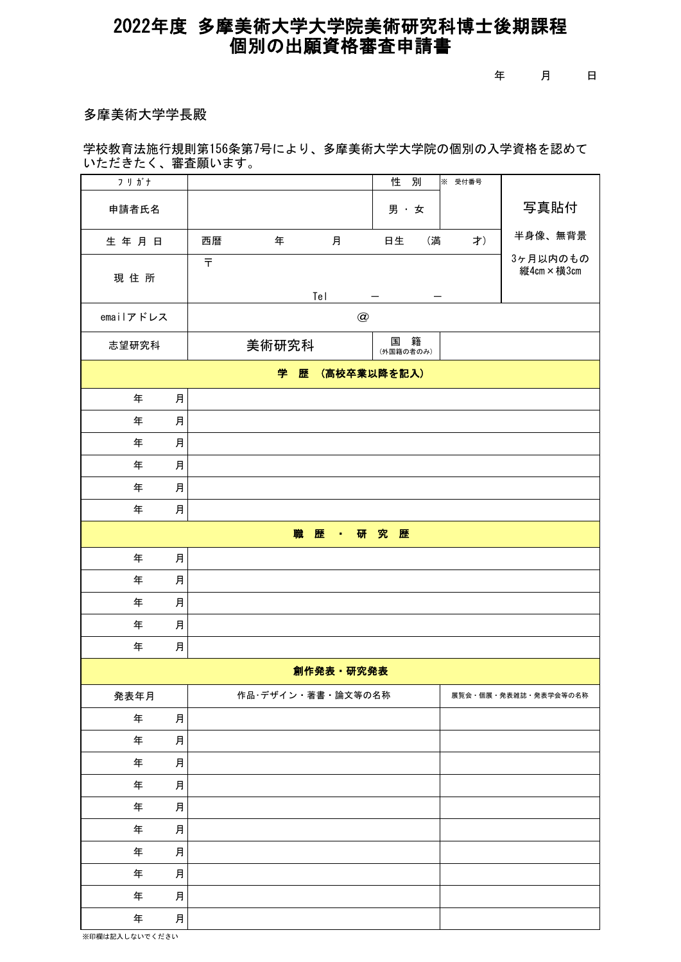## 個別の出願資格審査申請書 2022年度 多摩美術大学大学院美術研究科博士後期課程

年 月 日

## 多摩美術大学学長殿

学校教育法施行規則第156条第7号により、多摩美術大学大学院の個別の入学資格を認めて いただきたく、審査願います。

| フリガナ                  |                                              | 性<br>別<br>※ 受付番号    |                      |
|-----------------------|----------------------------------------------|---------------------|----------------------|
| 申請者氏名                 |                                              | 男·女                 | 写真貼付                 |
| 生年月日                  | 西暦<br>年<br>月                                 | 日生<br>(満<br>才)      | 半身像、無背景              |
| 現住所                   | 3ヶ月以内のもの<br>$\bar{\tau}$<br>縦4cm×横3cm<br>Tel |                     |                      |
| emailアドレス             | $\circledR$                                  |                     |                      |
| 志望研究科                 | 美術研究科                                        | 籍<br>国<br>(外国籍の者のみ) |                      |
| (高校卒業以降を記入)<br>学<br>歴 |                                              |                     |                      |
| 年                     | 月                                            |                     |                      |
| 年                     | 月                                            |                     |                      |
| 年                     | 月                                            |                     |                      |
| 年                     | 月                                            |                     |                      |
| 年                     | 月                                            |                     |                      |
| 年                     | 月                                            |                     |                      |
| · 研究歴<br>職<br>歴       |                                              |                     |                      |
| 年                     | 月                                            |                     |                      |
| 年                     | 月                                            |                     |                      |
| 年                     | 月                                            |                     |                      |
| 年                     | 月                                            |                     |                      |
| 年                     | 月                                            |                     |                      |
| 創作発表 研究発表             |                                              |                     |                      |
| 発表年月                  | 作品·デザイン·著書·論文等の名称                            |                     | 展覧会・個展・発表雑誌・発表学会等の名称 |
| 年                     | 月                                            |                     |                      |
| 年                     | 月                                            |                     |                      |
| 年                     | 月                                            |                     |                      |
| 年                     | 月                                            |                     |                      |
| 年                     | 月                                            |                     |                      |
| 年                     | 月                                            |                     |                      |
| 年                     | 月                                            |                     |                      |
| 年                     | 月                                            |                     |                      |
| 年                     | 月                                            |                     |                      |
| 年                     | 月                                            |                     |                      |

※印欄は記入しないでください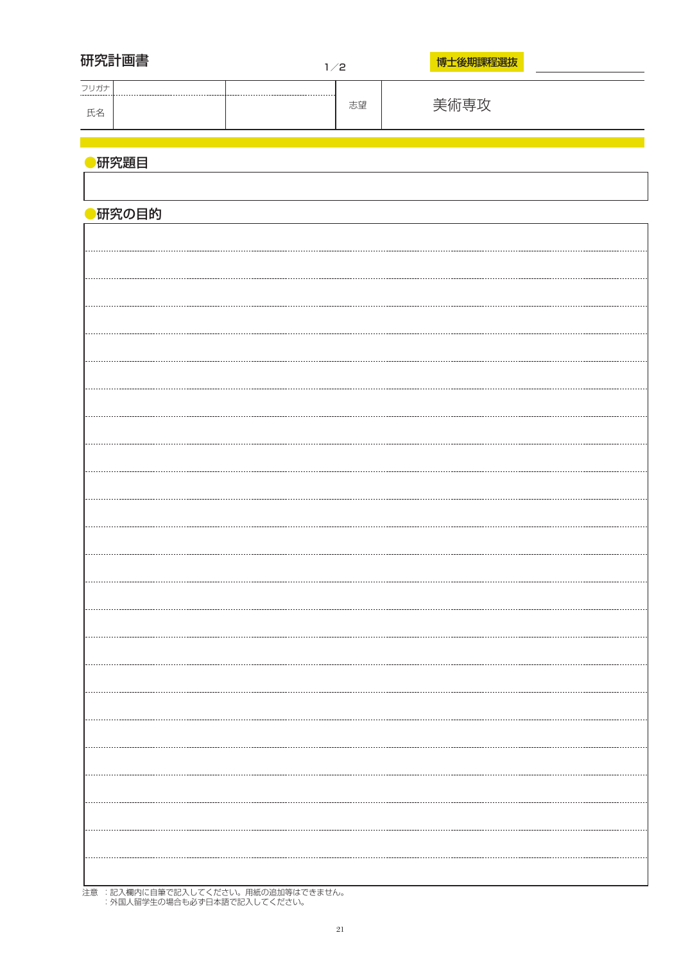| 研究計画書  | 1/2 |    | 博士後期課程選抜 |
|--------|-----|----|----------|
| フリガナ   |     |    |          |
| 氏名     |     | 志望 | 美術専攻     |
|        |     |    |          |
| 研究題目   |     |    |          |
|        |     |    |          |
| ●研究の目的 |     |    |          |
|        |     |    |          |
|        |     |    |          |
|        |     |    |          |
|        |     |    |          |
|        |     |    |          |
|        |     |    |          |
|        |     |    |          |
|        |     |    |          |
|        |     |    |          |
|        |     |    |          |
|        |     |    |          |
|        |     |    |          |
|        |     |    |          |
|        |     |    |          |
|        |     |    |          |
|        |     |    |          |
|        |     |    |          |
|        |     |    |          |
|        |     |    |          |
|        |     |    |          |
|        |     |    |          |
|        |     |    |          |
|        |     |    |          |
|        |     |    |          |
|        |     |    |          |
|        |     |    |          |

注意 :記入欄内に自筆で記入してください。用紙の追加等はできません。 :外国人留学生の場合も必ず日本語で記入してください。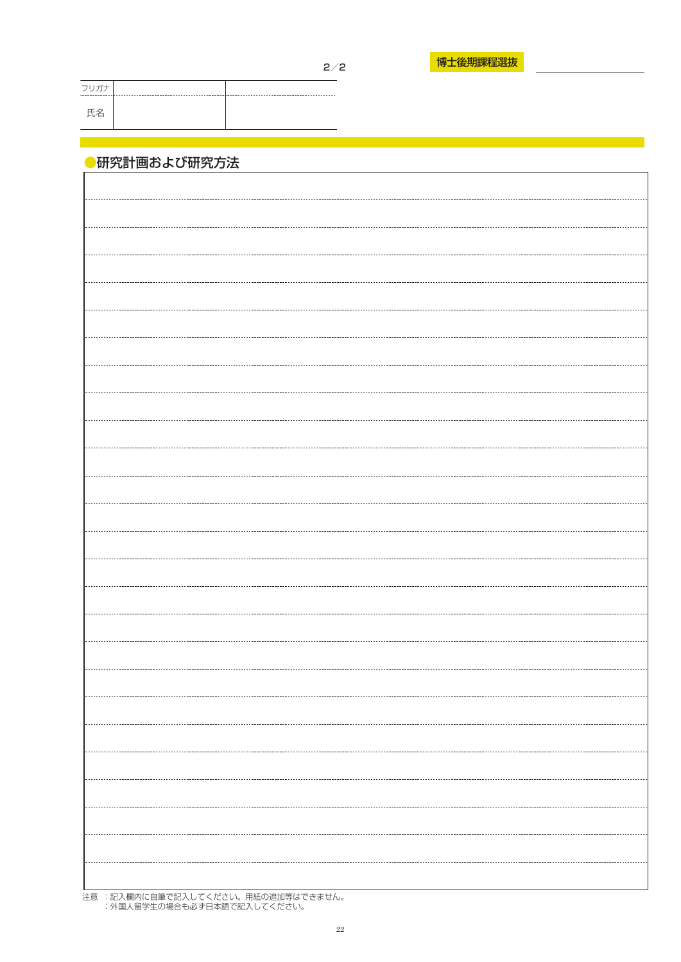| Ξ |
|---|
|---|

フリガナ 氏名

## ●研究計画および研究方法

注意 :記入欄内に自筆で記入してください。用紙の追加等はできません。 :外国人留学生の場合も必ず日本語で記入してください。